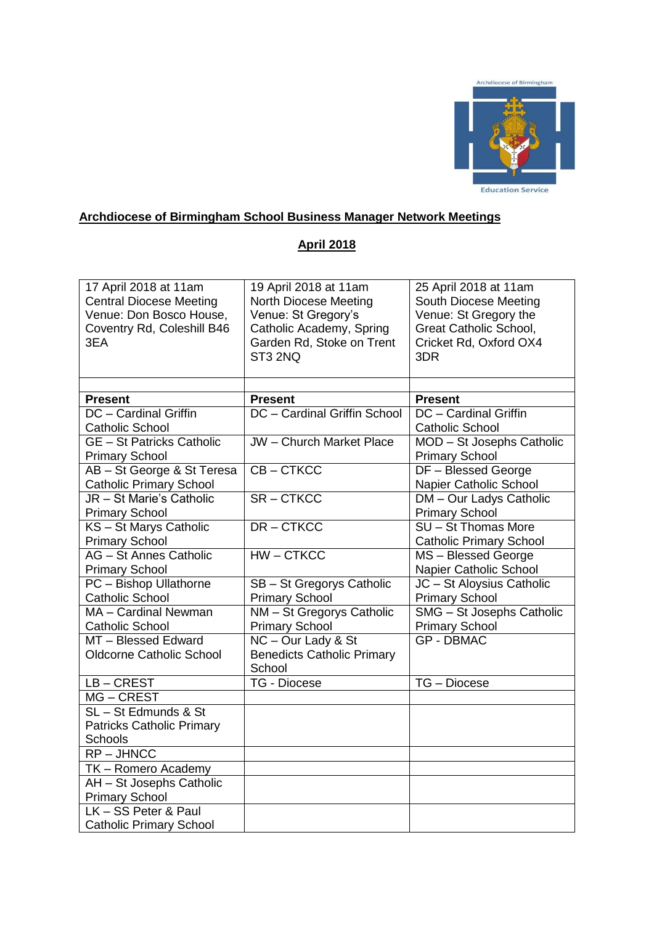

# **Archdiocese of Birmingham School Business Manager Network Meetings**

#### **April 2018**

| 17 April 2018 at 11am<br><b>Central Diocese Meeting</b><br>Venue: Don Bosco House,<br>Coventry Rd, Coleshill B46<br>3EA | 19 April 2018 at 11am<br>North Diocese Meeting<br>Venue: St Gregory's<br>Catholic Academy, Spring<br>Garden Rd, Stoke on Trent<br>ST3 2NQ | 25 April 2018 at 11am<br>South Diocese Meeting<br>Venue: St Gregory the<br><b>Great Catholic School,</b><br>Cricket Rd, Oxford OX4<br>3DR |
|-------------------------------------------------------------------------------------------------------------------------|-------------------------------------------------------------------------------------------------------------------------------------------|-------------------------------------------------------------------------------------------------------------------------------------------|
|                                                                                                                         |                                                                                                                                           |                                                                                                                                           |
| <b>Present</b>                                                                                                          | <b>Present</b>                                                                                                                            | <b>Present</b>                                                                                                                            |
| DC - Cardinal Griffin                                                                                                   | DC - Cardinal Griffin School                                                                                                              | DC - Cardinal Griffin                                                                                                                     |
| <b>Catholic School</b>                                                                                                  |                                                                                                                                           | <b>Catholic School</b>                                                                                                                    |
| <b>GE</b> - St Patricks Catholic<br><b>Primary School</b>                                                               | <b>JW</b> - Church Market Place                                                                                                           | MOD - St Josephs Catholic<br><b>Primary School</b>                                                                                        |
| AB - St George & St Teresa                                                                                              | CB-CTKCC                                                                                                                                  | DF - Blessed George                                                                                                                       |
| <b>Catholic Primary School</b>                                                                                          |                                                                                                                                           | Napier Catholic School                                                                                                                    |
| JR - St Marie's Catholic                                                                                                | $SR - CTKCC$                                                                                                                              | <b>DM-Our Ladys Catholic</b>                                                                                                              |
| <b>Primary School</b>                                                                                                   |                                                                                                                                           | <b>Primary School</b>                                                                                                                     |
| KS - St Marys Catholic                                                                                                  | DR-CTKCC                                                                                                                                  | SU - St Thomas More                                                                                                                       |
| <b>Primary School</b>                                                                                                   |                                                                                                                                           | <b>Catholic Primary School</b>                                                                                                            |
| AG - St Annes Catholic                                                                                                  | $HW - CTKCC$                                                                                                                              | MS-Blessed George                                                                                                                         |
| <b>Primary School</b>                                                                                                   |                                                                                                                                           | Napier Catholic School                                                                                                                    |
| PC - Bishop Ullathorne                                                                                                  | SB - St Gregorys Catholic                                                                                                                 | JC - St Aloysius Catholic                                                                                                                 |
| <b>Catholic School</b>                                                                                                  | <b>Primary School</b>                                                                                                                     | <b>Primary School</b>                                                                                                                     |
| MA - Cardinal Newman                                                                                                    | NM - St Gregorys Catholic                                                                                                                 | SMG - St Josephs Catholic                                                                                                                 |
| <b>Catholic School</b>                                                                                                  | <b>Primary School</b>                                                                                                                     | <b>Primary School</b>                                                                                                                     |
| MT - Blessed Edward                                                                                                     | NC - Our Lady & St                                                                                                                        | <b>GP - DBMAC</b>                                                                                                                         |
| <b>Oldcorne Catholic School</b>                                                                                         | <b>Benedicts Catholic Primary</b><br>School                                                                                               |                                                                                                                                           |
| LB-CREST                                                                                                                | TG - Diocese                                                                                                                              | TG - Diocese                                                                                                                              |
| MG-CREST                                                                                                                |                                                                                                                                           |                                                                                                                                           |
| SL-St Edmunds & St                                                                                                      |                                                                                                                                           |                                                                                                                                           |
| <b>Patricks Catholic Primary</b>                                                                                        |                                                                                                                                           |                                                                                                                                           |
| Schools                                                                                                                 |                                                                                                                                           |                                                                                                                                           |
| $RP - JHNCC$                                                                                                            |                                                                                                                                           |                                                                                                                                           |
| TK - Romero Academy                                                                                                     |                                                                                                                                           |                                                                                                                                           |
| AH - St Josephs Catholic                                                                                                |                                                                                                                                           |                                                                                                                                           |
| <b>Primary School</b>                                                                                                   |                                                                                                                                           |                                                                                                                                           |
| LK - SS Peter & Paul                                                                                                    |                                                                                                                                           |                                                                                                                                           |
| <b>Catholic Primary School</b>                                                                                          |                                                                                                                                           |                                                                                                                                           |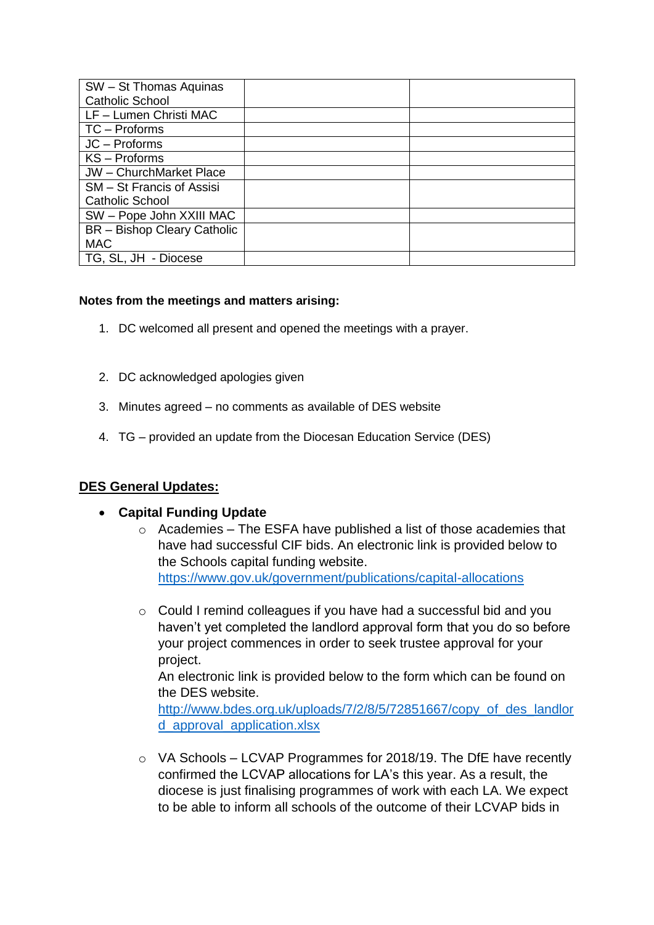| SW - St Thomas Aquinas             |  |
|------------------------------------|--|
| <b>Catholic School</b>             |  |
| LF - Lumen Christi MAC             |  |
| TC - Proforms                      |  |
| JC - Proforms                      |  |
| KS - Proforms                      |  |
| JW - ChurchMarket Place            |  |
| SM - St Francis of Assisi          |  |
| <b>Catholic School</b>             |  |
| SW - Pope John XXIII MAC           |  |
| <b>BR</b> - Bishop Cleary Catholic |  |
| <b>MAC</b>                         |  |
| TG, SL, JH<br>- Diocese            |  |

#### **Notes from the meetings and matters arising:**

- 1. DC welcomed all present and opened the meetings with a prayer.
- 2. DC acknowledged apologies given
- 3. Minutes agreed no comments as available of DES website
- 4. TG provided an update from the Diocesan Education Service (DES)

### **DES General Updates:**

#### **Capital Funding Update**

- o Academies The ESFA have published a list of those academies that have had successful CIF bids. An electronic link is provided below to the Schools capital funding website. <https://www.gov.uk/government/publications/capital-allocations>
- o Could I remind colleagues if you have had a successful bid and you haven't yet completed the landlord approval form that you do so before your project commences in order to seek trustee approval for your project. An electronic link is provided below to the form which can be found on

the DES website. [http://www.bdes.org.uk/uploads/7/2/8/5/72851667/copy\\_of\\_des\\_landlor](http://www.bdes.org.uk/uploads/7/2/8/5/72851667/copy_of_des_landlord_approval_application.xlsx)

[d\\_approval\\_application.xlsx](http://www.bdes.org.uk/uploads/7/2/8/5/72851667/copy_of_des_landlord_approval_application.xlsx)

 $\circ$  VA Schools – LCVAP Programmes for 2018/19. The DfE have recently confirmed the LCVAP allocations for LA's this year. As a result, the diocese is just finalising programmes of work with each LA. We expect to be able to inform all schools of the outcome of their LCVAP bids in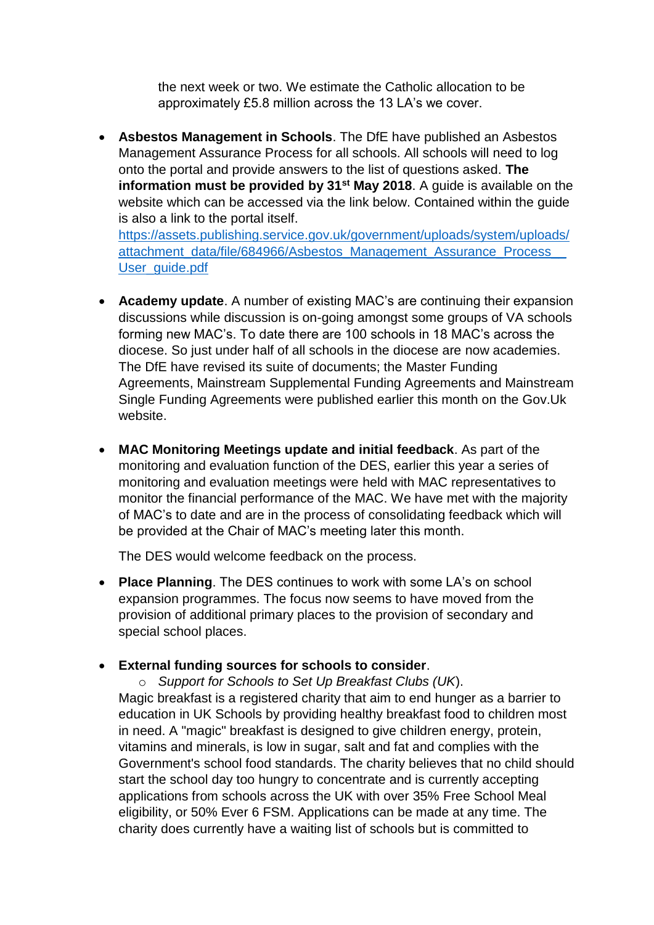the next week or two. We estimate the Catholic allocation to be approximately £5.8 million across the 13 LA's we cover.

 **Asbestos Management in Schools**. The DfE have published an Asbestos Management Assurance Process for all schools. All schools will need to log onto the portal and provide answers to the list of questions asked. **The information must be provided by 31st May 2018**. A guide is available on the website which can be accessed via the link below. Contained within the guide is also a link to the portal itself. [https://assets.publishing.service.gov.uk/government/uploads/system/uploads/](https://assets.publishing.service.gov.uk/government/uploads/system/uploads/attachment_data/file/684966/Asbestos_Management_Assurance_Process__User_guide.pdf)

[attachment\\_data/file/684966/Asbestos\\_Management\\_Assurance\\_Process\\_\\_](https://assets.publishing.service.gov.uk/government/uploads/system/uploads/attachment_data/file/684966/Asbestos_Management_Assurance_Process__User_guide.pdf) [User\\_guide.pdf](https://assets.publishing.service.gov.uk/government/uploads/system/uploads/attachment_data/file/684966/Asbestos_Management_Assurance_Process__User_guide.pdf)

- **Academy update**. A number of existing MAC's are continuing their expansion discussions while discussion is on-going amongst some groups of VA schools forming new MAC's. To date there are 100 schools in 18 MAC's across the diocese. So just under half of all schools in the diocese are now academies. The DfE have revised its suite of documents; the Master Funding Agreements, Mainstream Supplemental Funding Agreements and Mainstream Single Funding Agreements were published earlier this month on the Gov.Uk website.
- **MAC Monitoring Meetings update and initial feedback**. As part of the monitoring and evaluation function of the DES, earlier this year a series of monitoring and evaluation meetings were held with MAC representatives to monitor the financial performance of the MAC. We have met with the majority of MAC's to date and are in the process of consolidating feedback which will be provided at the Chair of MAC's meeting later this month.

The DES would welcome feedback on the process.

- **Place Planning**. The DES continues to work with some LA's on school expansion programmes. The focus now seems to have moved from the provision of additional primary places to the provision of secondary and special school places.
- **External funding sources for schools to consider**.

o *Support for Schools to Set Up Breakfast Clubs (UK*). Magic breakfast is a registered charity that aim to end hunger as a barrier to education in UK Schools by providing healthy breakfast food to children most in need. A "magic" breakfast is designed to give children energy, protein, vitamins and minerals, is low in sugar, salt and fat and complies with the Government's school food standards. The charity believes that no child should start the school day too hungry to concentrate and is currently accepting applications from schools across the UK with over 35% Free School Meal eligibility, or 50% Ever 6 FSM. Applications can be made at any time. The charity does currently have a waiting list of schools but is committed to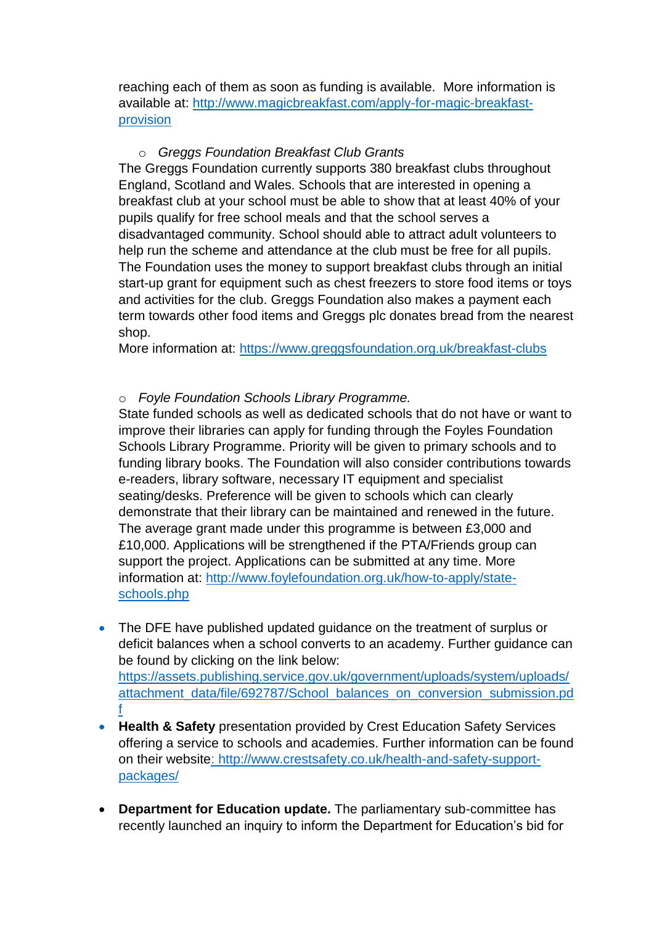reaching each of them as soon as funding is available. More information is available at: [http://www.magicbreakfast.com/apply-for-magic-breakfast](http://www.magicbreakfast.com/apply-for-magic-breakfast-provision)[provision](http://www.magicbreakfast.com/apply-for-magic-breakfast-provision)

### o *Greggs Foundation Breakfast Club Grants*

The Greggs Foundation currently supports 380 breakfast clubs throughout England, Scotland and Wales. Schools that are interested in opening a breakfast club at your school must be able to show that at least 40% of your pupils qualify for free school meals and that the school serves a disadvantaged community. School should able to attract adult volunteers to help run the scheme and attendance at the club must be free for all pupils. The Foundation uses the money to support breakfast clubs through an initial start-up grant for equipment such as chest freezers to store food items or toys and activities for the club. Greggs Foundation also makes a payment each term towards other food items and Greggs plc donates bread from the nearest shop.

More information at: <https://www.greggsfoundation.org.uk/breakfast-clubs>

## o *Foyle Foundation Schools Library Programme.*

State funded schools as well as dedicated schools that do not have or want to improve their libraries can apply for funding through the Foyles Foundation Schools Library Programme. Priority will be given to primary schools and to funding library books. The Foundation will also consider contributions towards e-readers, library software, necessary IT equipment and specialist seating/desks. Preference will be given to schools which can clearly demonstrate that their library can be maintained and renewed in the future. The average grant made under this programme is between £3,000 and £10,000. Applications will be strengthened if the PTA/Friends group can support the project. Applications can be submitted at any time. More information at: [http://www.foylefoundation.org.uk/how-to-apply/state](http://www.foylefoundation.org.uk/how-to-apply/state-schools.php)[schools.php](http://www.foylefoundation.org.uk/how-to-apply/state-schools.php)

- The DFE have published updated quidance on the treatment of surplus or deficit balances when a school converts to an academy. Further guidance can be found by clicking on the link below: [https://assets.publishing.service.gov.uk/government/uploads/system/uploads/](https://assets.publishing.service.gov.uk/government/uploads/system/uploads/attachment_data/file/692787/School_balances_on_conversion_submission.pdf) [attachment\\_data/file/692787/School\\_balances\\_on\\_conversion\\_submission.pd](https://assets.publishing.service.gov.uk/government/uploads/system/uploads/attachment_data/file/692787/School_balances_on_conversion_submission.pdf) [f](https://assets.publishing.service.gov.uk/government/uploads/system/uploads/attachment_data/file/692787/School_balances_on_conversion_submission.pdf)
- **Health & Safety** presentation provided by Crest Education Safety Services offering a service to schools and academies. Further information can be found on their website: [http://www.crestsafety.co.uk/health-and-safety-support](http://www.crestsafety.co.uk/health-and-safety-support-packages/)[packages/](http://www.crestsafety.co.uk/health-and-safety-support-packages/)
- **Department for Education update.** The parliamentary sub-committee has recently launched an inquiry to inform the Department for Education's bid for